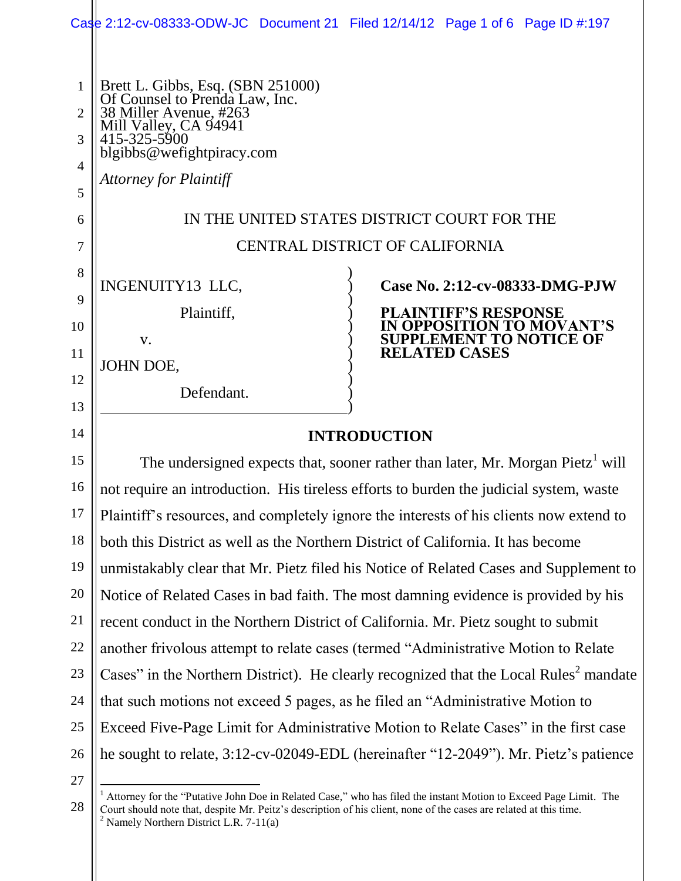|                                                            |                                                                                                                                                                                                      | Case 2:12-cv-08333-ODW-JC Document 21 Filed 12/14/12 Page 1 of 6 Page ID #:197 |
|------------------------------------------------------------|------------------------------------------------------------------------------------------------------------------------------------------------------------------------------------------------------|--------------------------------------------------------------------------------|
| $\mathbf{1}$<br>$\overline{2}$<br>3<br>$\overline{4}$<br>5 | Brett L. Gibbs, Esq. (SBN 251000)<br>Of Counsel to Prenda Law, Inc.<br>38 Miller Avenue, #263<br>Mill Valley, CA 94941<br>415-325-5900<br>blgibbs@wefightpiracy.com<br><b>Attorney for Plaintiff</b> |                                                                                |
| 6                                                          | IN THE UNITED STATES DISTRICT COURT FOR THE                                                                                                                                                          |                                                                                |
| 7                                                          | <b>CENTRAL DISTRICT OF CALIFORNIA</b>                                                                                                                                                                |                                                                                |
| 8                                                          | INGENUITY13 LLC,                                                                                                                                                                                     | Case No. 2:12-cv-08333-DMG-PJW                                                 |
| 9                                                          | Plaintiff,                                                                                                                                                                                           | <b>PLAINTIFF'S RESPONSE</b>                                                    |
| 10                                                         |                                                                                                                                                                                                      | IN OPPOSITION TO MOVANT'S<br><b>SUPPLEMENT TO NOTICE OF</b>                    |
| 11                                                         | V.                                                                                                                                                                                                   | <b>RELATED CASES</b>                                                           |
| 12                                                         | JOHN DOE,                                                                                                                                                                                            |                                                                                |
| 13                                                         | Defendant.                                                                                                                                                                                           |                                                                                |
| 14                                                         | <b>INTRODUCTION</b>                                                                                                                                                                                  |                                                                                |
| 15                                                         | The undersigned expects that, sooner rather than later, Mr. Morgan Pietz <sup>1</sup> will                                                                                                           |                                                                                |
| 16                                                         | not require an introduction. His tireless efforts to burden the judicial system, waste                                                                                                               |                                                                                |
| 17                                                         | Plaintiff's resources, and completely ignore the interests of his clients now extend to                                                                                                              |                                                                                |
| 18                                                         | both this District as well as the Northern District of California. It has become                                                                                                                     |                                                                                |
| 19                                                         | unmistakably clear that Mr. Pietz filed his Notice of Related Cases and Supplement to                                                                                                                |                                                                                |
| 20                                                         | Notice of Related Cases in bad faith. The most damning evidence is provided by his                                                                                                                   |                                                                                |
| 21                                                         | recent conduct in the Northern District of California. Mr. Pietz sought to submit                                                                                                                    |                                                                                |
| 22                                                         | another frivolous attempt to relate cases (termed "Administrative Motion to Relate                                                                                                                   |                                                                                |
| 23                                                         | Cases" in the Northern District). He clearly recognized that the Local Rules <sup>2</sup> mandate                                                                                                    |                                                                                |
| 24                                                         | that such motions not exceed 5 pages, as he filed an "Administrative Motion to                                                                                                                       |                                                                                |
| 25                                                         | Exceed Five-Page Limit for Administrative Motion to Relate Cases" in the first case                                                                                                                  |                                                                                |
| 26                                                         | he sought to relate, 3:12-cv-02049-EDL (hereinafter "12-2049"). Mr. Pietz's patience                                                                                                                 |                                                                                |

27

28

 $\overline{a}$ <sup>1</sup> Attorney for the "Putative John Doe in Related Case," who has filed the instant Motion to Exceed Page Limit. The Court should note that, despite Mr. Peitz's description of his client, none of the cases are related at this time.  $2$  Namely Northern District L.R. 7-11(a)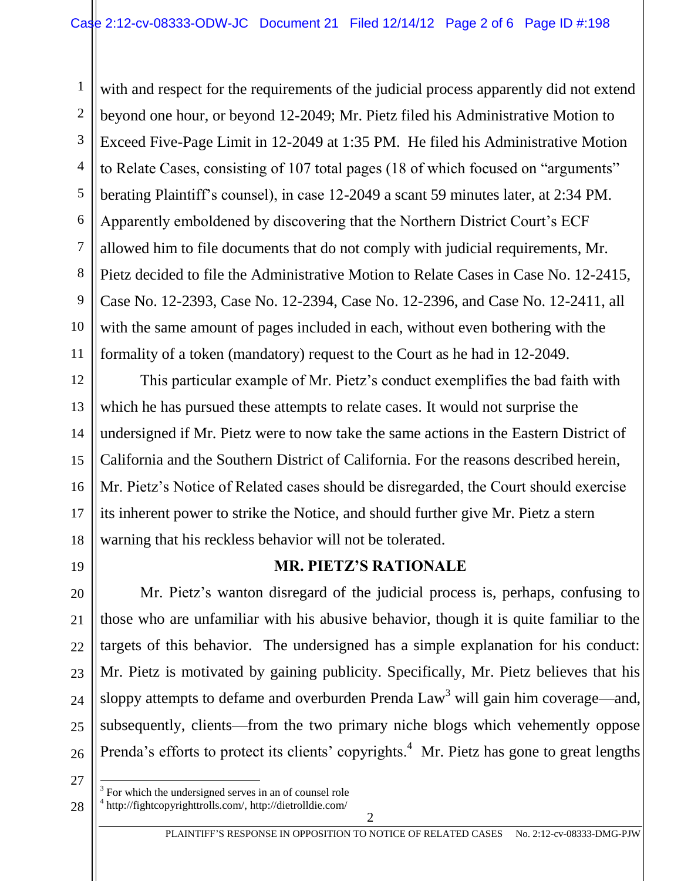1 2 3 4 5 6 7 8 9 10 11 with and respect for the requirements of the judicial process apparently did not extend beyond one hour, or beyond 12-2049; Mr. Pietz filed his Administrative Motion to Exceed Five-Page Limit in 12-2049 at 1:35 PM. He filed his Administrative Motion to Relate Cases, consisting of 107 total pages (18 of which focused on "arguments" berating Plaintiff's counsel), in case 12-2049 a scant 59 minutes later, at 2:34 PM. Apparently emboldened by discovering that the Northern District Court's ECF allowed him to file documents that do not comply with judicial requirements, Mr. Pietz decided to file the Administrative Motion to Relate Cases in Case No. 12-2415, Case No. 12-2393, Case No. 12-2394, Case No. 12-2396, and Case No. 12-2411, all with the same amount of pages included in each, without even bothering with the formality of a token (mandatory) request to the Court as he had in 12-2049.

14 18 This particular example of Mr. Pietz's conduct exemplifies the bad faith with which he has pursued these attempts to relate cases. It would not surprise the undersigned if Mr. Pietz were to now take the same actions in the Eastern District of California and the Southern District of California. For the reasons described herein, Mr. Pietz's Notice of Related cases should be disregarded, the Court should exercise its inherent power to strike the Notice, and should further give Mr. Pietz a stern warning that his reckless behavior will not be tolerated.

19

20

21

22

23

24

25

26

12

13

15

16

17

## **MR. PIETZ'S RATIONALE**

Mr. Pietz's wanton disregard of the judicial process is, perhaps, confusing to those who are unfamiliar with his abusive behavior, though it is quite familiar to the targets of this behavior. The undersigned has a simple explanation for his conduct: Mr. Pietz is motivated by gaining publicity. Specifically, Mr. Pietz believes that his sloppy attempts to defame and overburden Prenda  $Law<sup>3</sup>$  will gain him coverage—and, subsequently, clients—from the two primary niche blogs which vehemently oppose Prenda's efforts to protect its clients' copyrights.<sup>4</sup> Mr. Pietz has gone to great lengths

27

 $\overline{a}$ 

28

<sup>3</sup> For which the undersigned serves in an of counsel role

<sup>4</sup> http://fightcopyrighttrolls.com/, http://dietrolldie.com/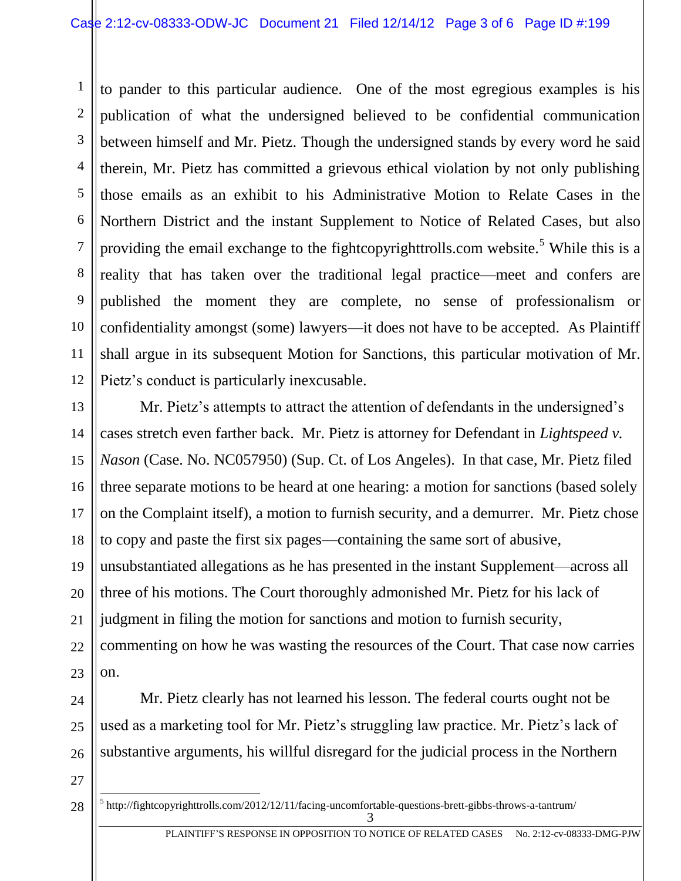1 2 3 4 5 6 7 8 9 10 11 12 to pander to this particular audience. One of the most egregious examples is his publication of what the undersigned believed to be confidential communication between himself and Mr. Pietz. Though the undersigned stands by every word he said therein, Mr. Pietz has committed a grievous ethical violation by not only publishing those emails as an exhibit to his Administrative Motion to Relate Cases in the Northern District and the instant Supplement to Notice of Related Cases, but also providing the email exchange to the fightcopyrighttrolls.com website.<sup>5</sup> While this is a reality that has taken over the traditional legal practice—meet and confers are published the moment they are complete, no sense of professionalism or confidentiality amongst (some) lawyers—it does not have to be accepted. As Plaintiff shall argue in its subsequent Motion for Sanctions, this particular motivation of Mr. Pietz's conduct is particularly inexcusable.

13 14 15 16 17 18 19 20 21 22 23 Mr. Pietz's attempts to attract the attention of defendants in the undersigned's cases stretch even farther back. Mr. Pietz is attorney for Defendant in *Lightspeed v. Nason* (Case. No. NC057950) (Sup. Ct. of Los Angeles). In that case, Mr. Pietz filed three separate motions to be heard at one hearing: a motion for sanctions (based solely on the Complaint itself), a motion to furnish security, and a demurrer. Mr. Pietz chose to copy and paste the first six pages—containing the same sort of abusive, unsubstantiated allegations as he has presented in the instant Supplement—across all three of his motions. The Court thoroughly admonished Mr. Pietz for his lack of judgment in filing the motion for sanctions and motion to furnish security, commenting on how he was wasting the resources of the Court. That case now carries on.

Mr. Pietz clearly has not learned his lesson. The federal courts ought not be used as a marketing tool for Mr. Pietz's struggling law practice. Mr. Pietz's lack of substantive arguments, his willful disregard for the judicial process in the Northern

27 28

 $\overline{a}$ 

24

25

26

3  $<sup>5</sup>$ http://fightcopyrighttrolls.com/2012/12/11/facing-uncomfortable-questions-brett-gibbs-throws-a-tantrum/</sup>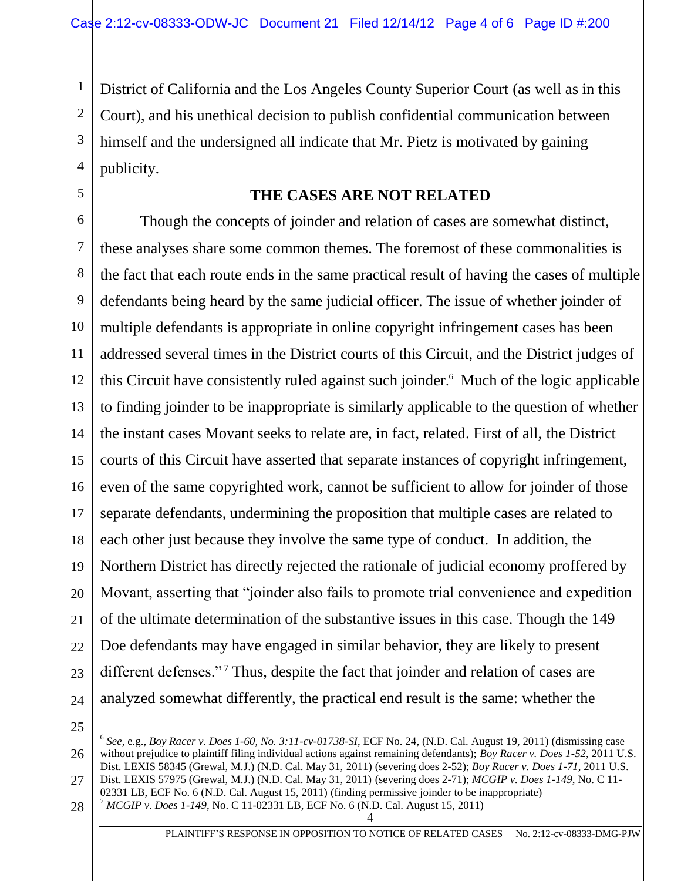District of California and the Los Angeles County Superior Court (as well as in this Court), and his unethical decision to publish confidential communication between himself and the undersigned all indicate that Mr. Pietz is motivated by gaining publicity.

## **THE CASES ARE NOT RELATED**

6 7 8 9 10 11 12 13 14 15 16 17 18 19 20 21 22 23 24 Though the concepts of joinder and relation of cases are somewhat distinct, these analyses share some common themes. The foremost of these commonalities is the fact that each route ends in the same practical result of having the cases of multiple defendants being heard by the same judicial officer. The issue of whether joinder of multiple defendants is appropriate in online copyright infringement cases has been addressed several times in the District courts of this Circuit, and the District judges of this Circuit have consistently ruled against such joinder. <sup>6</sup> Much of the logic applicable to finding joinder to be inappropriate is similarly applicable to the question of whether the instant cases Movant seeks to relate are, in fact, related. First of all, the District courts of this Circuit have asserted that separate instances of copyright infringement, even of the same copyrighted work, cannot be sufficient to allow for joinder of those separate defendants, undermining the proposition that multiple cases are related to each other just because they involve the same type of conduct. In addition, the Northern District has directly rejected the rationale of judicial economy proffered by Movant, asserting that "joinder also fails to promote trial convenience and expedition of the ultimate determination of the substantive issues in this case. Though the 149 Doe defendants may have engaged in similar behavior, they are likely to present different defenses."<sup>7</sup> Thus, despite the fact that joinder and relation of cases are analyzed somewhat differently, the practical end result is the same: whether the

25

 $\overline{a}$ 

1

2

3

4

5

4

<sup>7</sup> *MCGIP v. Does 1-149*, No. C 11-02331 LB, ECF No. 6 (N.D. Cal. August 15, 2011)

<sup>26</sup> 27 6 *See*, e.g., *Boy Racer v. Does 1-60, No. 3:11-cv-01738-SI*, ECF No. 24, (N.D. Cal. August 19, 2011) (dismissing case without prejudice to plaintiff filing individual actions against remaining defendants); *Boy Racer v. Does 1-52*, 2011 U.S. Dist. LEXIS 58345 (Grewal, M.J.) (N.D. Cal. May 31, 2011) (severing does 2-52); *Boy Racer v. Does 1-71*, 2011 U.S. Dist. LEXIS 57975 (Grewal, M.J.) (N.D. Cal. May 31, 2011) (severing does 2-71); *MCGIP v. Does 1-149*, No. C 11- 02331 LB, ECF No. 6 (N.D. Cal. August 15, 2011) (finding permissive joinder to be inappropriate)

<sup>28</sup>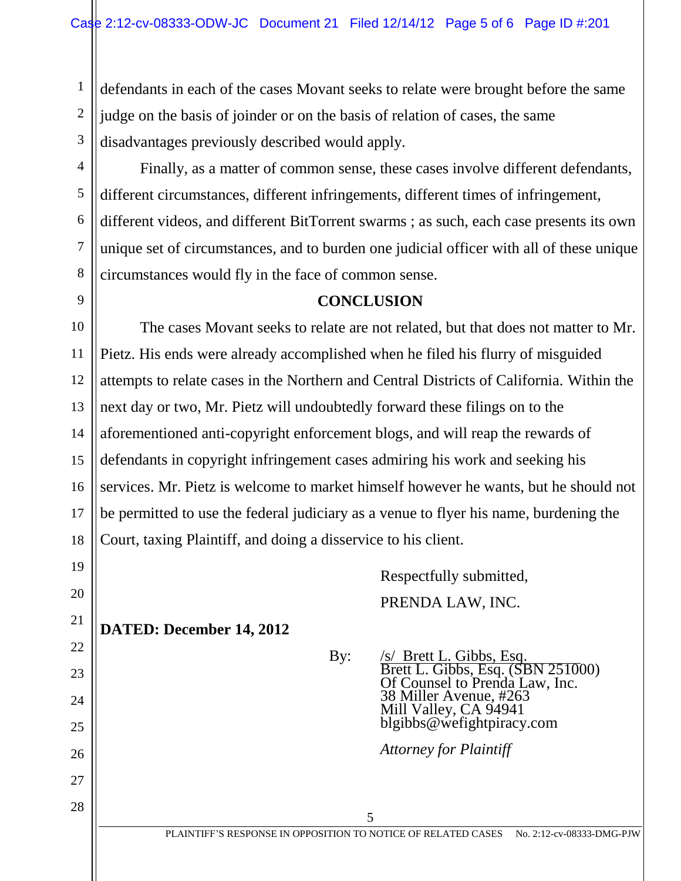defendants in each of the cases Movant seeks to relate were brought before the same judge on the basis of joinder or on the basis of relation of cases, the same disadvantages previously described would apply.

27

28

1

2

Finally, as a matter of common sense, these cases involve different defendants, different circumstances, different infringements, different times of infringement, different videos, and different BitTorrent swarms ; as such, each case presents its own unique set of circumstances, and to burden one judicial officer with all of these unique circumstances would fly in the face of common sense.

## **CONCLUSION**

The cases Movant seeks to relate are not related, but that does not matter to Mr. Pietz. His ends were already accomplished when he filed his flurry of misguided attempts to relate cases in the Northern and Central Districts of California. Within the next day or two, Mr. Pietz will undoubtedly forward these filings on to the aforementioned anti-copyright enforcement blogs, and will reap the rewards of defendants in copyright infringement cases admiring his work and seeking his services. Mr. Pietz is welcome to market himself however he wants, but he should not be permitted to use the federal judiciary as a venue to flyer his name, burdening the Court, taxing Plaintiff, and doing a disservice to his client.

> Respectfully submitted, PRENDA LAW, INC.

**DATED: December 14, 2012**

By: /s/ Brett L. Gibbs, Esq. Brett L. Gibbs, Esq. (SBN 251000) Of Counsel to Prenda Law, Inc. 38 Miller Avenue, #263 Mill Valley, CA 94941 blgibbs@wefightpiracy.com

*Attorney for Plaintiff*